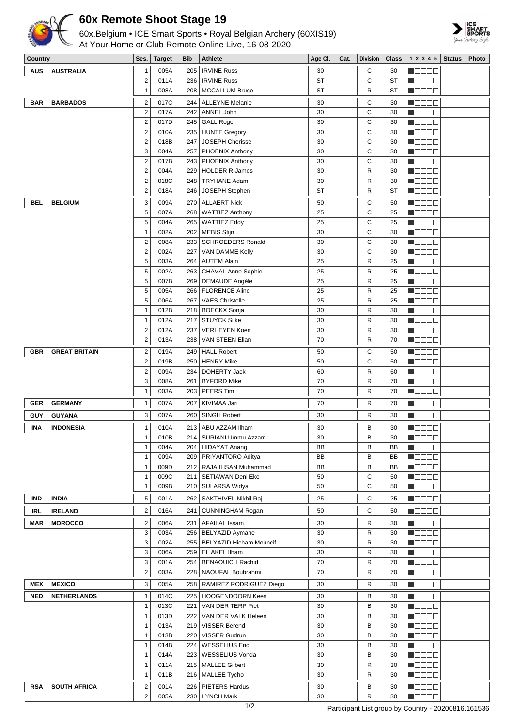

## **60x Remote Shoot Stage 19**



| 60x.Belgium • ICE Smart Sports • Royal Belgian Archery (60XIS19)<br>At Your Home or Club Remote Online Live, 16-08-2020 |                      |                         |               |            |                            |         |      |                 |              | SMAR<br>SPORT<br>Your Archery Stz                 |               |       |
|-------------------------------------------------------------------------------------------------------------------------|----------------------|-------------------------|---------------|------------|----------------------------|---------|------|-----------------|--------------|---------------------------------------------------|---------------|-------|
| Country                                                                                                                 |                      | Ses.                    | <b>Target</b> | <b>Bib</b> | <b>Athlete</b>             | Age CI. | Cat. | <b>Division</b> | <b>Class</b> | 1 2 3 4 5                                         | <b>Status</b> | Photo |
| <b>AUS</b>                                                                                                              | <b>AUSTRALIA</b>     | 1                       | 005A          | 205        | <b>IRVINE Russ</b>         | 30      |      | С               | 30           | N E E E E                                         |               |       |
|                                                                                                                         |                      | $\overline{2}$          | 011A          | 236        | <b>IRVINE Russ</b>         | ST      |      | С               | <b>ST</b>    | n oo o o                                          |               |       |
|                                                                                                                         |                      | 1                       | 008A          | 208        | <b>MCCALLUM Bruce</b>      | ST      |      | R               | ST           | <u>e de e e</u>                                   |               |       |
| <b>BAR</b>                                                                                                              | <b>BARBADOS</b>      | $\overline{\mathbf{c}}$ | 017C          |            | 244   ALLEYNE Melanie      | 30      |      | С               | 30           | n oo o o                                          |               |       |
|                                                                                                                         |                      | $\overline{2}$          | 017A          | 242        | ANNEL John                 | 30      |      | C               | 30           | n de Ele                                          |               |       |
|                                                                                                                         |                      | $\overline{2}$          | 017D          |            | 245 GALL Roger             | 30      |      | C               | 30           | n de de                                           |               |       |
|                                                                                                                         |                      | 2                       | 010A          |            | 235   HUNTE Gregory        | 30      |      | C               | 30           | <u> Nasar</u>                                     |               |       |
|                                                                                                                         |                      | 2                       | 018B          | 247        | JOSEPH Cherisse            | 30      |      | C               | 30           | N BE BE                                           |               |       |
|                                                                                                                         |                      | 3                       | 004A          |            | 257   PHOENIX Anthony      | 30      |      | C               | 30           | N O D D D                                         |               |       |
|                                                                                                                         |                      | $\overline{2}$          | 017B          | 243        | PHOENIX Anthony            | 30      |      | С               | 30           | N DE DE                                           |               |       |
|                                                                                                                         |                      | $\overline{2}$          | 004A          | 229        | <b>HOLDER R-James</b>      | 30      |      | R               | 30           | N E E E E                                         |               |       |
|                                                                                                                         |                      | 2                       | 018C          | 248        | <b>TRYHANE Adam</b>        | 30      |      | R               | 30           | 130 C C C                                         |               |       |
|                                                                                                                         |                      | $\mathbf 2$             | 018A          | 246        | JOSEPH Stephen             | ST      |      | R               | ST           | <u> - 800 - 80</u>                                |               |       |
| BEL                                                                                                                     | <b>BELGIUM</b>       | 3                       | 009A          | 270        | <b>ALLAERT Nick</b>        | 50      |      | С               | 50           | n Beec                                            |               |       |
|                                                                                                                         |                      | 5                       | 007A          | 268        | <b>WATTIEZ Anthony</b>     | 25      |      | С               | 25           | N O D O O                                         |               |       |
|                                                                                                                         |                      | 5                       | 004A          | 265        | <b>WATTIEZ Eddy</b>        | 25      |      | C               | 25           | 1   8   8   8   8                                 |               |       |
|                                                                                                                         |                      | 1                       | 002A          | 202        | <b>MEBIS Stijn</b>         | 30      |      | С               | 30           | Maaaa                                             |               |       |
|                                                                                                                         |                      | $\mathbf 2$             | 008A          | 233        | <b>SCHROEDERS Ronald</b>   | 30      |      | C               | 30           | n Beec                                            |               |       |
|                                                                                                                         |                      | $\overline{2}$          | 002A          | 227        | VAN DAMME Kelly            | 30      |      | С               | 30           | n dia an                                          |               |       |
|                                                                                                                         |                      | 5                       | 003A          | 264        | <b>AUTEM Alain</b>         | 25      |      | R               | 25           | <u>Li siste</u>                                   |               |       |
|                                                                                                                         |                      | 5                       | 002A          | 263        | CHAVAL Anne Sophie         | 25      |      | R               | 25           | 8000E                                             |               |       |
|                                                                                                                         |                      | 5                       | 007B          | 269        | <b>DEMAUDE Angèle</b>      | 25      |      | R               | 25           | N O D O G                                         |               |       |
|                                                                                                                         |                      | 5                       | 005A          | 266        | <b>FLORENCE Aline</b>      | 25      |      | R               | 25           | N E E E E                                         |               |       |
|                                                                                                                         |                      | 5                       | 006A          | 267        | <b>VAES Christelle</b>     | 25      |      | R               | 25           | $\blacksquare$ $\square$ $\square$ $\square$      |               |       |
|                                                                                                                         |                      | 1                       | 012B          | 218        | <b>BOECKX Sonja</b>        | 30      |      | R               | 30           | HOOOO                                             |               |       |
|                                                                                                                         |                      | 1                       | 012A          | 217        | <b>STUYCK Silke</b>        | 30      |      | R               | 30           | M O O O O                                         |               |       |
|                                                                                                                         |                      | $\overline{\mathbf{c}}$ | 012A          | 237        | <b>VERHEYEN Koen</b>       | 30      |      | R               | 30           | <u> - 800 - 80</u>                                |               |       |
|                                                                                                                         |                      | $\overline{2}$          | 013A          | 238        | VAN STEEN Elian            | 70      |      | R               | 70           | <u>Li viti viti </u>                              |               |       |
| <b>GBR</b>                                                                                                              | <b>GREAT BRITAIN</b> | 2                       | 019A          | 249        | <b>HALL Robert</b>         | 50      |      | С               | 50           | <b>N</b> OOOO                                     |               |       |
|                                                                                                                         |                      | $\overline{2}$          | 019B          | 250        | <b>HENRY Mike</b>          | 50      |      | С               | 50           | M O B B B                                         |               |       |
|                                                                                                                         |                      | $\overline{2}$          | 009A          | 234        | DOHERTY Jack               | 60      |      | R               | 60           | Maaaa                                             |               |       |
|                                                                                                                         |                      | 3                       | 008A          | 261        | <b>BYFORD Mike</b>         | 70      |      | R               | 70           | <u>e de e e</u>                                   |               |       |
|                                                                                                                         |                      | $\mathbf{1}$            | 003A          | 203        | PEERS Tim                  | 70      |      | R               | 70           | n de e e                                          |               |       |
| GER                                                                                                                     | <b>GERMANY</b>       | 1                       | 007A          |            | 207   KIVIMAA Jari         | 70      |      | R               | 70           | <u>in die Biblio</u>                              |               |       |
| GUY                                                                                                                     | <b>GUYANA</b>        | 3                       | 007A          | 260        | SINGH Robert               | 30      |      | R               | 30           | $\blacksquare$ $\blacksquare$ $\blacksquare$      |               |       |
|                                                                                                                         |                      |                         |               |            |                            |         |      |                 |              |                                                   |               |       |
| INA                                                                                                                     | <b>INDONESIA</b>     | $\mathbf{1}$            | 010A          | 213        | ABU AZZAM Ilham            | 30      |      | В               | 30           | <b>M</b> OOOO                                     |               |       |
|                                                                                                                         |                      | $\mathbf{1}$            | 010B          |            | 214   SURIANI Ummu Azzam   | 30      |      | В               | 30           | HOOOO                                             |               |       |
|                                                                                                                         |                      | $\mathbf{1}$            | 004A          |            | 204   HIDAYAT Anang        | BB      |      | В               | BB           | n de co                                           |               |       |
|                                                                                                                         |                      | $\mathbf{1}$            | 009A          |            | 209 PRIYANTORO Aditya      | BB      |      | В               | BB           | N BE EE                                           |               |       |
|                                                                                                                         |                      | $\mathbf{1}$            | 009D          |            | 212   RAJA IHSAN Muhammad  | BB      |      | В               | BB           | Macas                                             |               |       |
|                                                                                                                         |                      | $\mathbf{1}$            | 009C          | 211        | SETIAWAN Deni Eko          | 50      |      | С               | 50           | $\blacksquare$ $\square$ $\square$ $\square$      |               |       |
|                                                                                                                         |                      | $\mathbf{1}$            | 009B          | 210        | SULARSA Widya              | 50      |      | С               | 50           | N E E E E                                         |               |       |
| <b>IND</b>                                                                                                              | <b>INDIA</b>         | 5                       | 001A          |            | 262   SAKTHIVEL Nikhil Raj | 25      |      | С               | 25           | $\blacksquare$ $\square$ $\square$ $\blacksquare$ |               |       |

n Belek  $\blacksquare$  $\blacksquare$  $\blacksquare$  $\blacksquare$  $\blacksquare$  $\blacksquare$  $\blacksquare$  $\blacksquare$ **MODDE NODDD HOOOO HOOOO**  $\blacksquare$ <br/> $\blacksquare$  $\blacksquare$  $\blacksquare$ <br/> $\blacksquare$  $\blacksquare$ **HOOOO** 10000

3 003A 256 BELYAZID Aymane 30 R 30 3 002A 255 BELYAZID Hicham Mouncif 30 R 30 3 006A 259 EL AKEL Ilham 30 R 30 3 001A 254 BENAOUICH Rachid 70 R 70 2 003A 228 NAOUFAL Boubrahmi 70 R 70

1 013C 221 VAN DER TERP Piet 30 30 B 30 1 013D 222 VAN DER VALK Heleen 30 30 B 30 1 013A 219 VISSER Berend 30 B 30 1 013B 220 VISSER Gudrun 30 B 30 1 014B 224 WESSELIUS Eric 30 30 B 30 1 014A 223 WESSELIUS Vonda 30 30 B 30 1 011A 215 MALLEE Gilbert 1 30 R 30 1 011B 216 MALLEE Tycho 30 30 R 30

2 005A 230 LYNCH Mark 1 30 R 30

**IRL IRELAND** 2 016A 241 CUNNINGHAM Rogan 50 C 50 **MAR MOROCCO** 2 006A 231 AFAILAL Issam 30 R 30

**MEX MEXICO** 3 005A 258 RAMIREZ RODRIGUEZ Diego 30 R 30 **NED NETHERLANDS** 1 014C 225 HOOGENDOORN Kees 30 B 30

**RSA SOUTH AFRICA** 2 001A 226 PIETERS Hardus 30 B 30